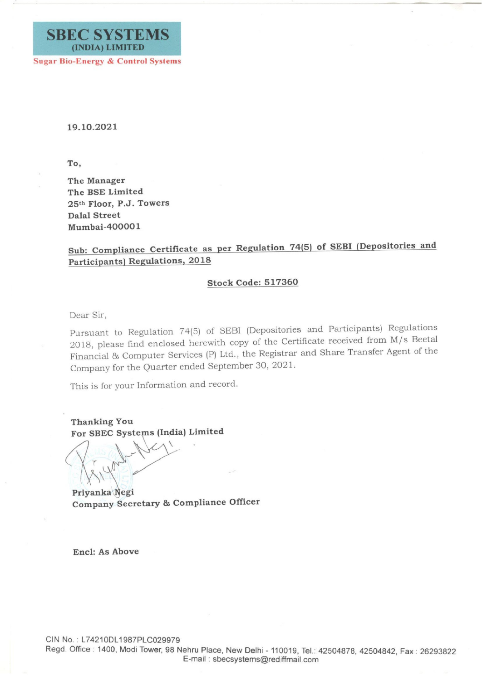

19.10.2021

To,

The Manager The BSE Limited 25th Floor, P.J. Towers Dalal Street Mumbai-400001

## Sub: Compliance Certificate as per Regulation 74(5) of SEBI (Depositories and Participants) Regulations, 2018

## Stock Code: 517360

Dear Sir,

Pursuant to Regulation 74(5) of SEBI (Depositories and Participants) Regulations 2018, please find enclosed herewith copy of the Certificate received from M/s Beetal Financial & Computer Services (P) Ltd., the Registrar and Share Transfer Agent of the Company for the Quarter ended September 30, 2021.

This is for your Information and record.

Thanking You Thanking You<br>For SBEC Systems (India) Limited

king You<br>SBEC Systems (Inc.

Privanka Negi Company Secretary & Compliance Officer

Encl: As Above